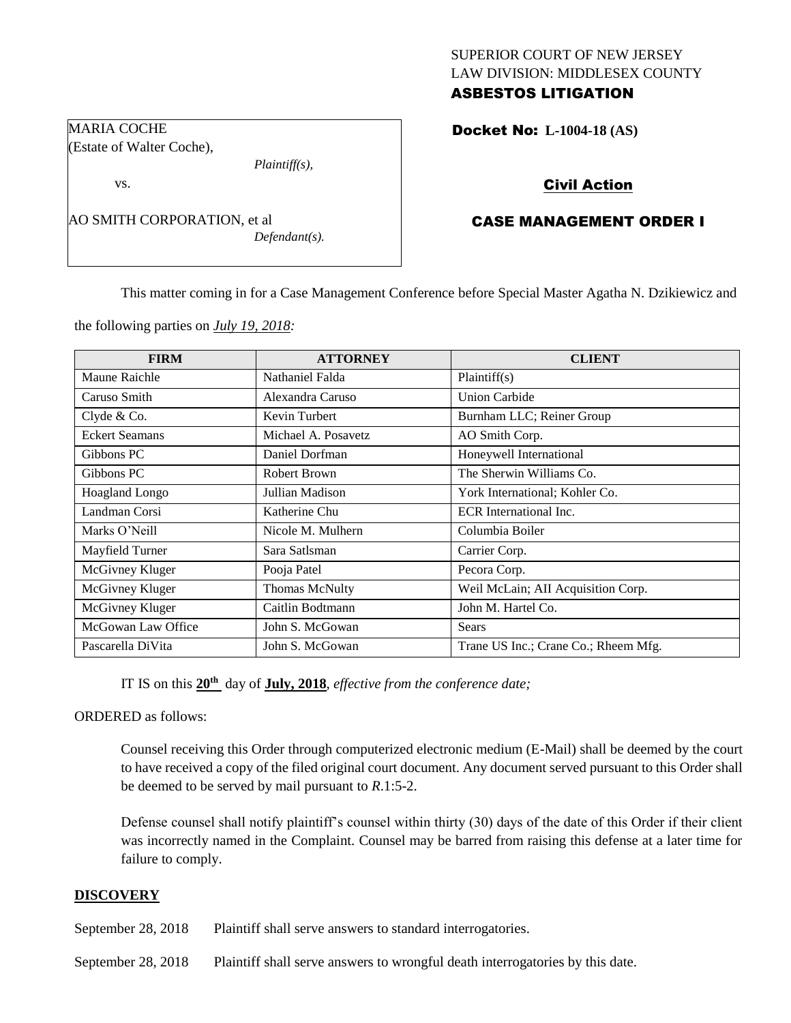### SUPERIOR COURT OF NEW JERSEY LAW DIVISION: MIDDLESEX COUNTY ASBESTOS LITIGATION

Docket No: **L-1004-18 (AS)** 

## Civil Action

## CASE MANAGEMENT ORDER I

This matter coming in for a Case Management Conference before Special Master Agatha N. Dzikiewicz and

the following parties on *July 19, 2018:*

AO SMITH CORPORATION, et al

*Plaintiff(s),*

*Defendant(s).*

MARIA COCHE

vs.

(Estate of Walter Coche),

| <b>FIRM</b>           | <b>ATTORNEY</b>     | <b>CLIENT</b>                        |
|-----------------------|---------------------|--------------------------------------|
| Maune Raichle         | Nathaniel Falda     | Plaintiff(s)                         |
| Caruso Smith          | Alexandra Caruso    | <b>Union Carbide</b>                 |
| Clyde & Co.           | Kevin Turbert       | Burnham LLC; Reiner Group            |
| <b>Eckert Seamans</b> | Michael A. Posavetz | AO Smith Corp.                       |
| Gibbons PC            | Daniel Dorfman      | Honeywell International              |
| Gibbons PC            | Robert Brown        | The Sherwin Williams Co.             |
| <b>Hoagland Longo</b> | Jullian Madison     | York International; Kohler Co.       |
| Landman Corsi         | Katherine Chu       | ECR International Inc.               |
| Marks O'Neill         | Nicole M. Mulhern   | Columbia Boiler                      |
| Mayfield Turner       | Sara Satlsman       | Carrier Corp.                        |
| McGivney Kluger       | Pooja Patel         | Pecora Corp.                         |
| McGivney Kluger       | Thomas McNulty      | Weil McLain; AII Acquisition Corp.   |
| McGivney Kluger       | Caitlin Bodtmann    | John M. Hartel Co.                   |
| McGowan Law Office    | John S. McGowan     | <b>Sears</b>                         |
| Pascarella DiVita     | John S. McGowan     | Trane US Inc.; Crane Co.; Rheem Mfg. |

IT IS on this **20th** day of **July, 2018**, *effective from the conference date;*

ORDERED as follows:

Counsel receiving this Order through computerized electronic medium (E-Mail) shall be deemed by the court to have received a copy of the filed original court document. Any document served pursuant to this Order shall be deemed to be served by mail pursuant to *R*.1:5-2.

Defense counsel shall notify plaintiff's counsel within thirty (30) days of the date of this Order if their client was incorrectly named in the Complaint. Counsel may be barred from raising this defense at a later time for failure to comply.

### **DISCOVERY**

September 28, 2018 Plaintiff shall serve answers to standard interrogatories.

September 28, 2018 Plaintiff shall serve answers to wrongful death interrogatories by this date.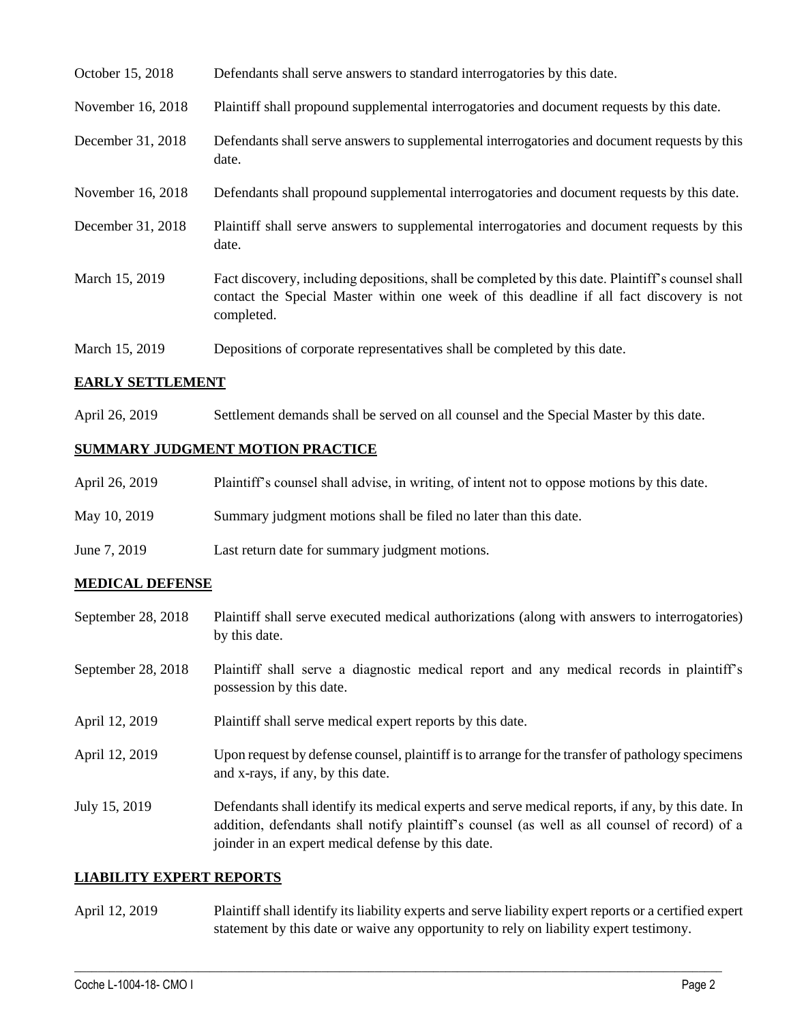| October 15, 2018  | Defendants shall serve answers to standard interrogatories by this date.                                                                                                                                    |
|-------------------|-------------------------------------------------------------------------------------------------------------------------------------------------------------------------------------------------------------|
| November 16, 2018 | Plaintiff shall propound supplemental interrogatories and document requests by this date.                                                                                                                   |
| December 31, 2018 | Defendants shall serve answers to supplemental interrogatories and document requests by this<br>date.                                                                                                       |
| November 16, 2018 | Defendants shall propound supplemental interrogatories and document requests by this date.                                                                                                                  |
| December 31, 2018 | Plaintiff shall serve answers to supplemental interrogatories and document requests by this<br>date.                                                                                                        |
| March 15, 2019    | Fact discovery, including depositions, shall be completed by this date. Plaintiff's counsel shall<br>contact the Special Master within one week of this deadline if all fact discovery is not<br>completed. |
| March 15, 2019    | Depositions of corporate representatives shall be completed by this date.                                                                                                                                   |

### **EARLY SETTLEMENT**

April 26, 2019 Settlement demands shall be served on all counsel and the Special Master by this date.

# **SUMMARY JUDGMENT MOTION PRACTICE**

| April 26, 2019 | Plaintiff's counsel shall advise, in writing, of intent not to oppose motions by this date. |
|----------------|---------------------------------------------------------------------------------------------|
| May 10, 2019   | Summary judgment motions shall be filed no later than this date.                            |
| June 7, 2019   | Last return date for summary judgment motions.                                              |

## **MEDICAL DEFENSE**

| September 28, 2018 | Plaintiff shall serve executed medical authorizations (along with answers to interrogatories)<br>by this date.                                                                                                                                           |
|--------------------|----------------------------------------------------------------------------------------------------------------------------------------------------------------------------------------------------------------------------------------------------------|
| September 28, 2018 | Plaintiff shall serve a diagnostic medical report and any medical records in plaintiff's<br>possession by this date.                                                                                                                                     |
| April 12, 2019     | Plaintiff shall serve medical expert reports by this date.                                                                                                                                                                                               |
| April 12, 2019     | Upon request by defense counsel, plaintiff is to arrange for the transfer of pathology specimens<br>and x-rays, if any, by this date.                                                                                                                    |
| July 15, 2019      | Defendants shall identify its medical experts and serve medical reports, if any, by this date. In<br>addition, defendants shall notify plaintiff's counsel (as well as all counsel of record) of a<br>joinder in an expert medical defense by this date. |

### **LIABILITY EXPERT REPORTS**

April 12, 2019 Plaintiff shall identify its liability experts and serve liability expert reports or a certified expert statement by this date or waive any opportunity to rely on liability expert testimony.

 $\_$  ,  $\_$  ,  $\_$  ,  $\_$  ,  $\_$  ,  $\_$  ,  $\_$  ,  $\_$  ,  $\_$  ,  $\_$  ,  $\_$  ,  $\_$  ,  $\_$  ,  $\_$  ,  $\_$  ,  $\_$  ,  $\_$  ,  $\_$  ,  $\_$  ,  $\_$  ,  $\_$  ,  $\_$  ,  $\_$  ,  $\_$  ,  $\_$  ,  $\_$  ,  $\_$  ,  $\_$  ,  $\_$  ,  $\_$  ,  $\_$  ,  $\_$  ,  $\_$  ,  $\_$  ,  $\_$  ,  $\_$  ,  $\_$  ,